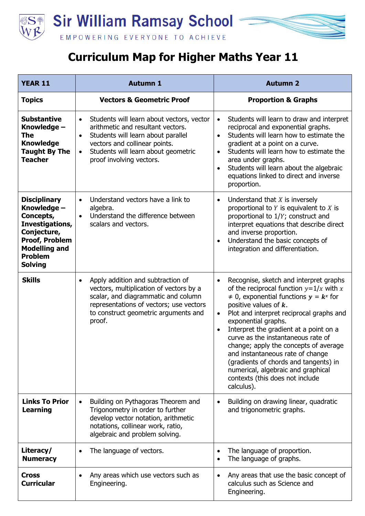

## **Curriculum Map for Higher Maths Year 11**

| <b>YEAR 11</b>                                                                                                                                                         | <b>Autumn 1</b>                                                                                                                                                                                                                                                 | <b>Autumn 2</b>                                                                                                                                                                                                                                                                                                                                                                                                                                                                                                                                                         |
|------------------------------------------------------------------------------------------------------------------------------------------------------------------------|-----------------------------------------------------------------------------------------------------------------------------------------------------------------------------------------------------------------------------------------------------------------|-------------------------------------------------------------------------------------------------------------------------------------------------------------------------------------------------------------------------------------------------------------------------------------------------------------------------------------------------------------------------------------------------------------------------------------------------------------------------------------------------------------------------------------------------------------------------|
| <b>Topics</b>                                                                                                                                                          | <b>Vectors &amp; Geometric Proof</b>                                                                                                                                                                                                                            | <b>Proportion &amp; Graphs</b>                                                                                                                                                                                                                                                                                                                                                                                                                                                                                                                                          |
| <b>Substantive</b><br>Knowledge -<br><b>The</b><br><b>Knowledge</b><br><b>Taught By The</b><br><b>Teacher</b>                                                          | Students will learn about vectors, vector<br>$\bullet$<br>arithmetic and resultant vectors.<br>Students will learn about parallel<br>$\bullet$<br>vectors and collinear points.<br>Students will learn about geometric<br>$\bullet$<br>proof involving vectors. | Students will learn to draw and interpret<br>$\bullet$<br>reciprocal and exponential graphs.<br>Students will learn how to estimate the<br>$\bullet$<br>gradient at a point on a curve.<br>Students will learn how to estimate the<br>$\bullet$<br>area under graphs.<br>Students will learn about the algebraic<br>$\bullet$<br>equations linked to direct and inverse<br>proportion.                                                                                                                                                                                  |
| <b>Disciplinary</b><br>Knowledge -<br>Concepts,<br>Investigations,<br>Conjecture,<br><b>Proof, Problem</b><br><b>Modelling and</b><br><b>Problem</b><br><b>Solving</b> | Understand vectors have a link to<br>$\bullet$<br>algebra.<br>Understand the difference between<br>$\bullet$<br>scalars and vectors.                                                                                                                            | Understand that $X$ is inversely<br>$\bullet$<br>proportional to $Y$ is equivalent to $X$ is<br>proportional to 1/Y; construct and<br>interpret equations that describe direct<br>and inverse proportion.<br>Understand the basic concepts of<br>$\bullet$<br>integration and differentiation.                                                                                                                                                                                                                                                                          |
| <b>Skills</b>                                                                                                                                                          | Apply addition and subtraction of<br>$\bullet$<br>vectors, multiplication of vectors by a<br>scalar, and diagrammatic and column<br>representations of vectors; use vectors<br>to construct geometric arguments and<br>proof.                                   | Recognise, sketch and interpret graphs<br>$\bullet$<br>of the reciprocal function $y=1/x$ with x<br>$\neq$ 0, exponential functions $y = k^x$ for<br>positive values of $k$ .<br>Plot and interpret reciprocal graphs and<br>$\bullet$<br>exponential graphs.<br>Interpret the gradient at a point on a<br>$\bullet$<br>curve as the instantaneous rate of<br>change; apply the concepts of average<br>and instantaneous rate of change<br>(gradients of chords and tangents) in<br>numerical, algebraic and graphical<br>contexts (this does not include<br>calculus). |
| <b>Links To Prior</b><br><b>Learning</b>                                                                                                                               | Building on Pythagoras Theorem and<br>Trigonometry in order to further<br>develop vector notation, arithmetic<br>notations, collinear work, ratio,<br>algebraic and problem solving.                                                                            | Building on drawing linear, quadratic<br>and trigonometric graphs.                                                                                                                                                                                                                                                                                                                                                                                                                                                                                                      |
| Literacy/<br><b>Numeracy</b>                                                                                                                                           | The language of vectors.                                                                                                                                                                                                                                        | The language of proportion.<br>$\bullet$<br>The language of graphs.                                                                                                                                                                                                                                                                                                                                                                                                                                                                                                     |
| <b>Cross</b><br><b>Curricular</b>                                                                                                                                      | Any areas which use vectors such as<br>Engineering.                                                                                                                                                                                                             | Any areas that use the basic concept of<br>calculus such as Science and<br>Engineering.                                                                                                                                                                                                                                                                                                                                                                                                                                                                                 |